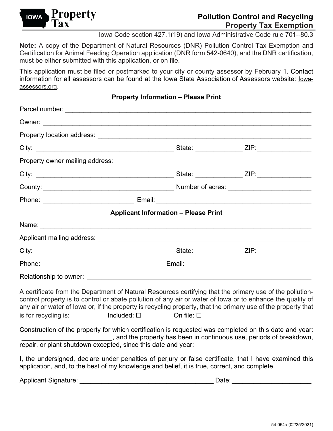

Iowa Code section 427.1(19) and Iowa Administrative Code rule 701--80.3

**Note:** A copy of the Department of Natural Resources (DNR) Pollution Control Tax Exemption and Certification for Animal Feeding Operation application (DNR form 542-0640), and the DNR certification, must be either submitted with this application, or on file.

This application must be filed or postmarked to your city or county assessor by February 1. Contact information for all assessors can be found at the Iowa State Association of Assessors website: Iowaassessors.org.

**Property Information – Please Print**

|                      | <b>Applicant Information - Please Print</b>                                                                                                                                                                                                                                                                                                                                                              |  |
|----------------------|----------------------------------------------------------------------------------------------------------------------------------------------------------------------------------------------------------------------------------------------------------------------------------------------------------------------------------------------------------------------------------------------------------|--|
|                      |                                                                                                                                                                                                                                                                                                                                                                                                          |  |
|                      |                                                                                                                                                                                                                                                                                                                                                                                                          |  |
|                      |                                                                                                                                                                                                                                                                                                                                                                                                          |  |
|                      |                                                                                                                                                                                                                                                                                                                                                                                                          |  |
|                      |                                                                                                                                                                                                                                                                                                                                                                                                          |  |
| is for recycling is: | A certificate from the Department of Natural Resources certifying that the primary use of the pollution-<br>control property is to control or abate pollution of any air or water of lowa or to enhance the quality of<br>any air or water of lowa or, if the property is recycling property, that the primary use of the property that<br>$\blacksquare$ The lncluded: $\square$ The confile: $\square$ |  |
|                      | Construction of the property for which certification is requested was completed on this date and year:<br>and the property has been in continuous use, periods of breakdown,                                                                                                                                                                                                                             |  |
|                      | I, the undersigned, declare under penalties of perjury or false certificate, that I have examined this<br>application, and, to the best of my knowledge and belief, it is true, correct, and complete.                                                                                                                                                                                                   |  |
|                      |                                                                                                                                                                                                                                                                                                                                                                                                          |  |

Applicant Signature: \_\_\_\_\_\_\_\_\_\_\_\_\_\_\_\_\_\_\_\_\_\_\_\_\_\_\_\_\_\_\_\_\_\_\_\_\_ Date:\_\_\_\_\_\_\_\_\_\_\_\_\_\_\_\_\_\_\_\_\_\_